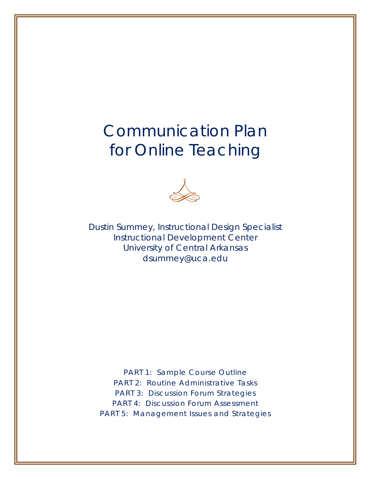# Communication Plan for Online Teaching



Dustin Summey, Instructional Design Specialist Instructional Development Center University of Central Arkansas dsummey@uca.edu

*PART 1: Sample Course Outline PART 2: Routine Administrative Tasks PART 3: Discussion Forum Strategies PART 4: Discussion Forum Assessment PART 5: Management Issues and Strategies*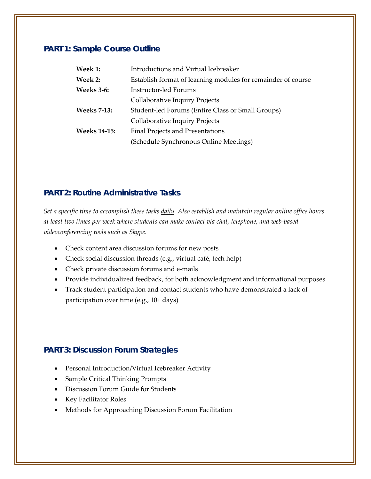## **PART 1: Sample Course Outline**

| Introductions and Virtual Icebreaker                         |  |  |
|--------------------------------------------------------------|--|--|
| Establish format of learning modules for remainder of course |  |  |
| Instructor-led Forums                                        |  |  |
| Collaborative Inquiry Projects                               |  |  |
| Student-led Forums (Entire Class or Small Groups)            |  |  |
| Collaborative Inquiry Projects                               |  |  |
| Final Projects and Presentations                             |  |  |
| (Schedule Synchronous Online Meetings)                       |  |  |
|                                                              |  |  |

## **PART 2: Routine Administrative Tasks**

Set a specific time to accomplish these tasks *daily*. Also establish and maintain regular online office hours *at least two times per week where students can make contact via chat, telephone, and web‐based videoconferencing tools such as Skype.*

- Check content area discussion forums for new posts
- Check social discussion threads (e.g., virtual café, tech help)
- Check private discussion forums and e‐mails
- Provide individualized feedback, for both acknowledgment and informational purposes
- Track student participation and contact students who have demonstrated a lack of participation over time (e.g., 10+ days)

## **PART 3: Discussion Forum Strategies**

- Personal Introduction/Virtual Icebreaker Activity
- Sample Critical Thinking Prompts
- Discussion Forum Guide for Students
- Key Facilitator Roles
- Methods for Approaching Discussion Forum Facilitation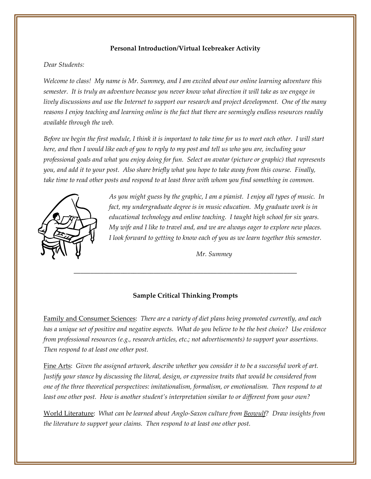## **Personal Introduction/Virtual Icebreaker Activity**

#### *Dear Students:*

Welcome to class! My name is Mr. Summey, and I am excited about our online learning adventure this semester. It is truly an adventure because you never know what direction it will take as we engage in lively discussions and use the Internet to support our research and project development. One of the many reasons I enjoy teaching and learning online is the fact that there are seemingly endless resources readily *available through the web.* 

Before we begin the first module, I think it is important to take time for us to meet each other. I will start here, and then I would like each of you to reply to my post and tell us who you are, including your professional goals and what you enjoy doing for fun. Select an avatar (picture or graphic) that represents you, and add it to your post. Also share briefly what you hope to take away from this course. Finally, take time to read other posts and respond to at least three with whom you find something in common.



*As you might guess by the graphic, I am a pianist. I enjoy all types of music. In fact, my undergraduate degree is in music education. My graduate work is in educational technology and online teaching. I taught high school for six years. My wife and I like to travel and, and we are always eager to explore new places. I look forward to getting to know each of you as we learn together this semester.*

*Mr. Summey*

#### **Sample Critical Thinking Prompts**

**\_\_\_\_\_\_\_\_\_\_\_\_\_\_\_\_\_\_\_\_\_\_\_\_\_\_\_\_\_\_\_\_\_\_\_\_\_\_\_\_\_\_\_\_\_\_\_\_\_\_\_\_\_\_\_\_\_\_\_\_\_\_\_\_\_\_\_**

Family and Consumer Sciences: *There are a variety of diet plans being promoted currently, and each* has a unique set of positive and negative aspects. What do you believe to be the best choice? Use evidence *from professional resources (e.g., research articles, etc.; not advertisements) to support your assertions. Then respond to at least one other post.*

Fine Arts: Given the assigned artwork, describe whether you consider it to be a successful work of art. *Justify your stance by discussing the literal, design, or expressive traits that would be considered from one of the three theoretical perspectives: imitationalism, formalism, or emotionalism. Then respond to at least one other post. How is another student's interpretation similar to or different from your own?*

World Literature: *What can be learned about Anglo‐Saxon culture from Beowulf? Draw insights from the literature to support your claims. Then respond to at least one other post.*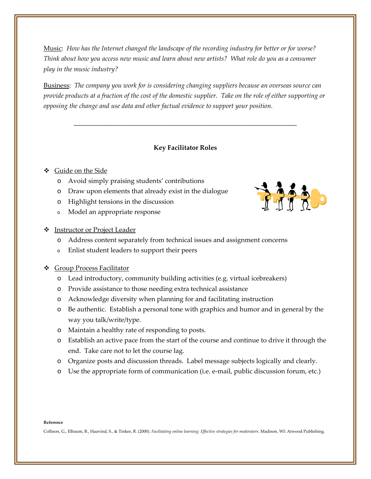Music: *How has the Internet changed the landscape of the recording industry for better or for worse?*  Think about how you access new music and learn about new artists? What role do you as a consumer *play in the music industry?*

Business: *The company you work for is considering changing suppliers because an overseas source can* provide products at a fraction of the cost of the domestic supplier. Take on the role of either supporting or *opposing the change and use data and other factual evidence to support your position.*

#### **Key Facilitator Roles**

**\_\_\_\_\_\_\_\_\_\_\_\_\_\_\_\_\_\_\_\_\_\_\_\_\_\_\_\_\_\_\_\_\_\_\_\_\_\_\_\_\_\_\_\_\_\_\_\_\_\_\_\_\_\_\_\_\_\_\_\_\_\_\_\_\_\_\_**

#### Guide on the Side

- o Avoid simply praising students' contributions
- o Draw upon elements that already exist in the dialogue
- o Highlight tensions in the discussion
- o Model an appropriate response

#### Instructor or Project Leader

- o Address content separately from technical issues and assignment concerns
- o Enlist student leaders to support their peers

#### **❖** Group Process Facilitator

- o Lead introductory, community building activities (e.g. virtual icebreakers)
- o Provide assistance to those needing extra technical assistance
- o Acknowledge diversity when planning for and facilitating instruction
- o Be authentic. Establish a personal tone with graphics and humor and in general by the way you talk/write/type.
- o Maintain a healthy rate of responding to posts.
- o Establish an active pace from the start of the course and continue to drive it through the end. Take care not to let the course lag.
- o Organize posts and discussion threads. Label message subjects logically and clearly.
- o Use the appropriate form of communication (i.e. e‐mail, public discussion forum, etc.)

#### **Reference**

Collison, G., Elbaum, B., Haavind, S., & Tinker, R. (2000). *Facilitating online learning: Effective strategies for moderators*. Madison, WI: Atwood Publishing.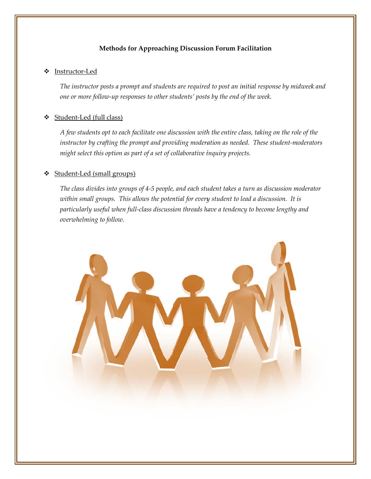#### **M Methods for A Approachin ng Discussio on Forum Fa acilitation**

#### **❖** Instructor-Led

The instructor posts a prompt and students are required to post an initial response by midweek and one or more follow-up responses to other students' posts by the end of the week.

#### **❖** Student-Led (full class)

A few students opt to each facilitate one discussion with the entire class, taking on the role of the instructor by crafting the prompt and providing moderation as needed. These student-moderators *mig ght select this option as par rt of a set of c collaborative i inquiry projec cts.*

#### **❖** Student-Led (small groups)

The class divides into groups of 4-5 people, and each student takes a turn as discussion moderator within small groups. This allows the potential for every student to lead a discussion. It is particularly useful when full-class discussion threads have a tendency to become lengthy and *over rwhelming to o follow.*

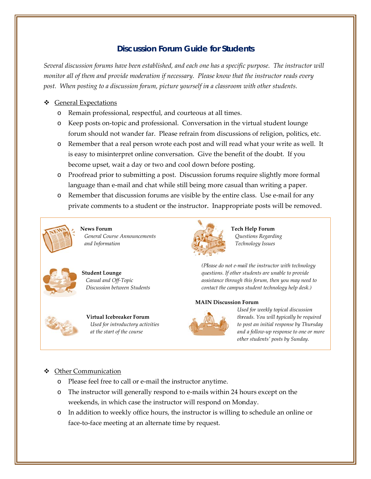# **Discussion Forum Guide for Students**

Several discussion forums have been established, and each one has a specific purpose. The instructor will monitor all of them and provide moderation if necessary. Please know that the instructor reads every post. When posting to a discussion forum, picture yourself in a classroom with other students.

#### ❖ General Expectations

- o R Remain prof fessional, res spectful, and d courteous at all times.
- o Keep posts on-topic and professional. Conversation in the virtual student lounge forum should not wander far. Please refrain from discussions of religion, politics, etc.
- $\circ$  Remember that a real person wrote each post and will read what your write as well. It is easy to misinterpret online conversation. Give the benefit of the doubt. If you become upset, wait a day or two and cool down before posting.
- $\circ$  Proofread prior to submitting a post. Discussion forums require slightly more formal language than e-mail and chat while still being more casual than writing a paper.
- o Remember that discussion forums are visible by the entire class. Use e-mail for any Remember that discussion forums are visible by the entire class. Use e-mail for any<br>private comments to a student or the instructor. Inappropriate posts will be removed.



**News For rum** *General C Course Announc cements and Infor rmation*



**Student L Lounge**  *Casual a and Off‐Topic Discussi ion between Stud dents*



**Virtual Icebreaker Fo orum** *Used f for introductory activities at the start of the cour rse*



**Tech h Help Forum** *Qu estions Regardin ng Tec chnology Issues*

*(Pl lease do not e‐ma ail the instructo r with technolog gy que estions. If other students are una able to provide ass sistance through h this forum, then n you may need to con ntact the campus s student techno ology help desk.)*

#### **MAIN N Discussion F Forum**



*Us sed for weekly to opical discussion thr reads. You will t typically be requ nuired to post an initial r esponse by Thur rsday an nd a follow‐up re esponse to one or r more oth her students' pos sts by Sunday.*

## ❖ Other Communication

- o Please feel free to call or e-mail the instructor anytime.
- $\circ$  The instructor will generally respond to e-mails within 24 hours except on the weekends, in which case the instructor will respond on Monday.
- $\circ$  In addition to weekly office hours, the instructor is willing to schedule an online or face-to-face meeting at an alternate time by request.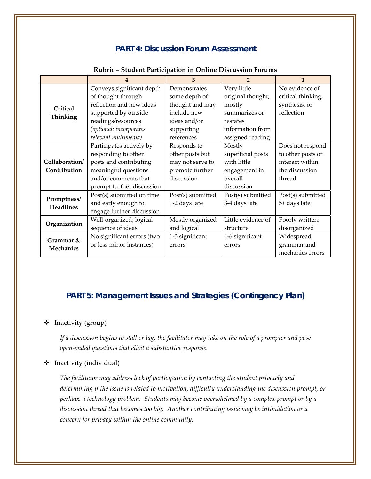## **PART 4: Discussion Forum Assessment**

|                                 |                            | 3                 | $\overline{2}$     |                    |
|---------------------------------|----------------------------|-------------------|--------------------|--------------------|
| Critical<br>Thinking            | Conveys significant depth  | Demonstrates      | Very little        | No evidence of     |
|                                 | of thought through         | some depth of     | original thought;  | critical thinking, |
|                                 | reflection and new ideas   | thought and may   | mostly             | synthesis, or      |
|                                 | supported by outside       | include new       | summarizes or      | reflection         |
|                                 | readings/resources         | ideas and/or      | restates           |                    |
|                                 | (optional: incorporates    | supporting        | information from   |                    |
|                                 | relevant multimedia)       | references        | assigned reading   |                    |
| Collaboration/                  | Participates actively by   | Responds to       | Mostly             | Does not respond   |
|                                 | responding to other        | other posts but   | superficial posts  | to other posts or  |
|                                 | posts and contributing     | may not serve to  | with little        | interact within    |
| Contribution                    | meaningful questions       | promote further   | engagement in      | the discussion     |
|                                 | and/or comments that       | discussion        | overall            | thread             |
|                                 | prompt further discussion  |                   | discussion         |                    |
| Promptness/<br><b>Deadlines</b> | Post(s) submitted on time  | Post(s) submitted | Post(s) submitted  | Post(s) submitted  |
|                                 | and early enough to        | 1-2 days late     | 3-4 days late      | 5+ days late       |
|                                 | engage further discussion  |                   |                    |                    |
| Organization                    | Well-organized; logical    | Mostly organized  | Little evidence of | Poorly written;    |
|                                 | sequence of ideas          | and logical       | structure          | disorganized       |
| Grammar &<br><b>Mechanics</b>   | No significant errors (two | 1-3 significant   | 4-6 significant    | Widespread         |
|                                 | or less minor instances)   | errors            | errors             | grammar and        |
|                                 |                            |                   |                    | mechanics errors   |

#### **Rubric – Student Participation in Online Discussion Forums**

# **PART 5: Management Issues and Strategies (Contingency Plan)**

#### Inactivity (group)

If a discussion begins to stall or lag, the facilitator may take on the role of a prompter and pose *open‐ended questions that elicit a substantive response.* 

## $\triangleleft$  Inactivity (individual)

*The facilitator may address lack of participation by contacting the student privately and determining if the issue is related to motivation, difficulty understanding the discussion prompt, or perhaps a technology problem. Students may become overwhelmed by a complex prompt or by a discussion thread that becomes too big. Another contributing issue may be intimidation or a concern for privacy within the online community.*